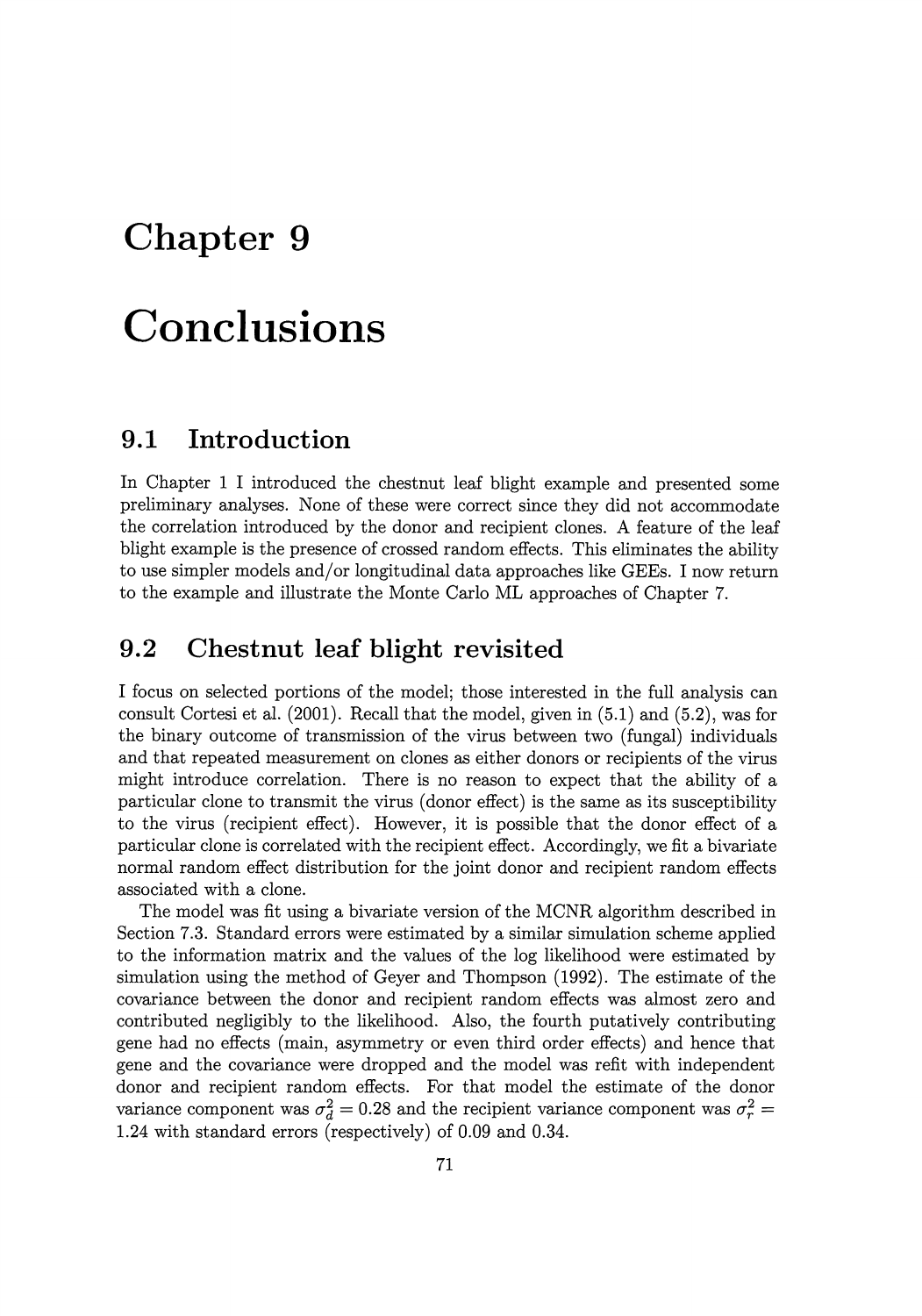# **Chapter 9**

# **Conclusions**

## **9.1 Introduction**

In Chapter 1 I introduced the chestnut leaf blight example and presented some preliminary analyses. None of these were correct since they did not accommodate the correlation introduced by the donor and recipient clones. A feature of the leaf blight example is the presence of crossed random effects. This eliminates the ability to use simpler models and/or longitudinal data approaches like GEEs. I now return to the example and illustrate the Monte Carlo ML approaches of Chapter 7.

# **9.2 Chestnut leaf blight revisited**

I focus on selected portions of the model; those interested in the full analysis can consult Cortesi et al. (2001). Recall that the model, given in (5.1) and (5.2), was for the binary outcome of transmission of the virus between two (fungal) individuals and that repeated measurement on clones as either donors or recipients of the virus might introduce correlation. There is no reason to expect that the ability of a particular clone to transmit the virus (donor effect) is the same as its susceptibility to the virus (recipient effect). However, it is possible that the donor effect of a particular clone is correlated with the recipient effect. Accordingly, we fit a bivariate normal random effect distribution for the joint donor and recipient random effects associated with a clone.

The model was fit using a bivariate version of the MCNR algorithm described in Section 7.3. Standard errors were estimated by a similar simulation scheme applied to the information matrix and the values of the log likelihood were estimated by simulation using the method of Geyer and Thompson (1992). The estimate of the covariance between the donor and recipient random effects was almost zero and contributed negligibly to the likelihood. Also, the fourth putatively contributing gene had no effects (main, asymmetry or even third order effects) and hence that gene and the covariance were dropped and the model was refit with independent donor and recipient random effects. For that model the estimate of the donor variance component was  $\sigma_d^2 = 0.28$  and the recipient variance component was  $\sigma_r^2 =$ 1.24 with standard errors (respectively) of 0.09 and 0.34.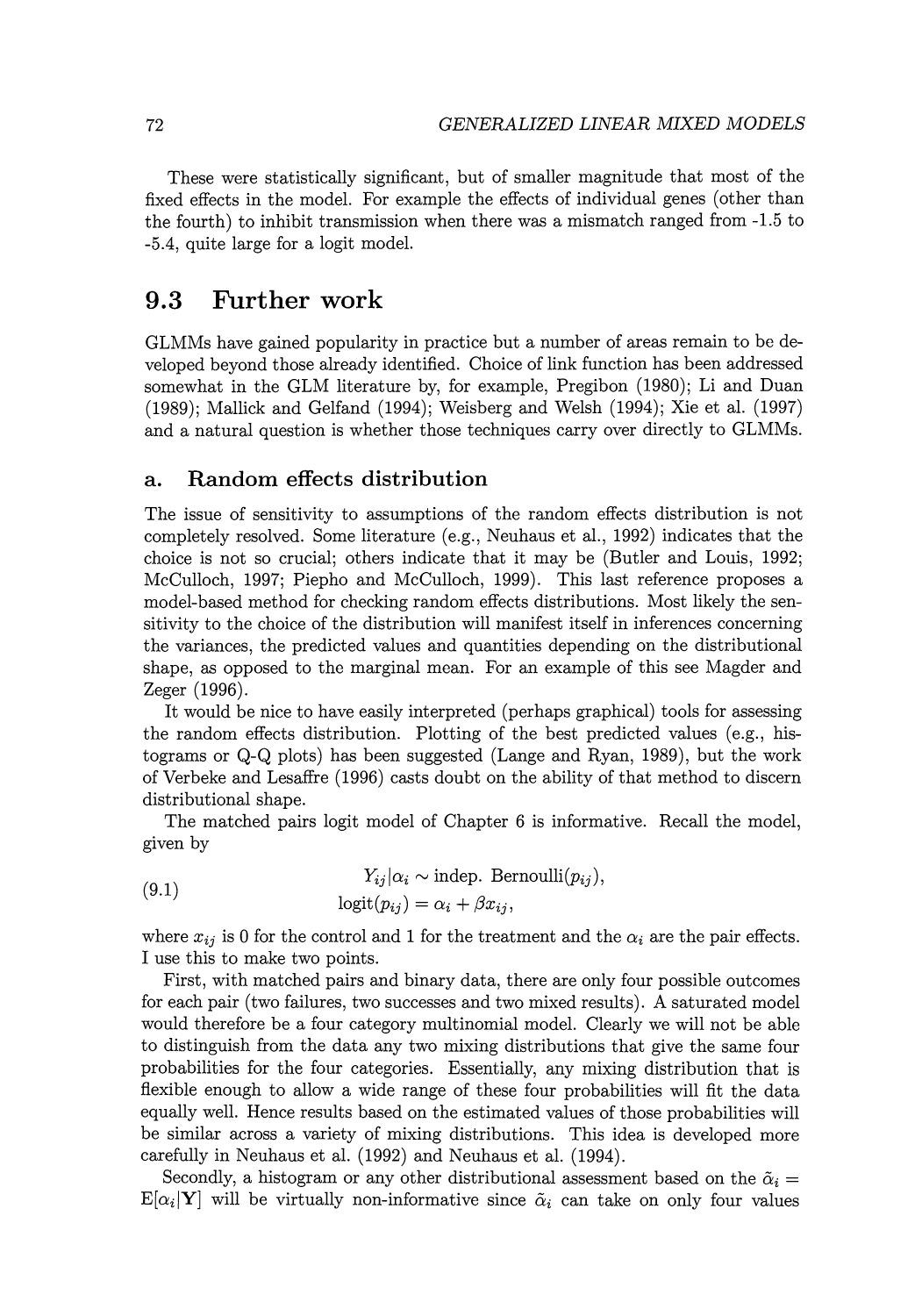These were statistically significant, but of smaller magnitude that most of the fixed effects in the model. For example the effects of individual genes (other than the fourth) to inhibit transmission when there was a mismatch ranged from -1.5 to -5.4, quite large for a logit model.

### **9.3 Further work**

GLMMs have gained popularity in practice but a number of areas remain to be developed beyond those already identified. Choice of link function has been addressed somewhat in the GLM literature by, for example, Pregibon (1980); Li and Duan (1989); Mallick and Gelfand (1994); Weisberg and Welsh (1994); Xie et al. (1997) and a natural question is whether those techniques carry over directly to GLMMs.

#### **a. Random effects distribution**

The issue of sensitivity to assumptions of the random effects distribution is not completely resolved. Some literature (e.g., Neuhaus et al., 1992) indicates that the choice is not so crucial; others indicate that it may be (Butler and Louis, 1992; McCulloch, 1997; Piepho and McCulloch, 1999). This last reference proposes a model-based method for checking random effects distributions. Most likely the sensitivity to the choice of the distribution will manifest itself in inferences concerning the variances, the predicted values and quantities depending on the distributional shape, as opposed to the marginal mean. For an example of this see Magder and Zeger (1996).

It would be nice to have easily interpreted (perhaps graphical) tools for assessing the random effects distribution. Plotting of the best predicted values (e.g., histograms or Q-Q plots) has been suggested (Lange and Ryan, 1989), but the work of Verbeke and Lesaffre (1996) casts doubt on the ability of that method to discern distributional shape.

The matched pairs logit model of Chapter 6 is informative. Recall the model, given by

(9.1) 
$$
Y_{ij}|\alpha_i \sim \text{indep. Bernoulli}(p_{ij}),
$$

$$
\text{logit}(p_{ij}) = \alpha_i + \beta x_{ij},
$$

where  $x_{ij}$  is 0 for the control and 1 for the treatment and the  $\alpha_i$  are the pair effects. I use this to make two points.

First, with matched pairs and binary data, there are only four possible outcomes for each pair (two failures, two successes and two mixed results). A saturated model would therefore be a four category multinomial model. Clearly we will not be able to distinguish from the data any two mixing distributions that give the same four probabilities for the four categories. Essentially, any mixing distribution that is flexible enough to allow a wide range of these four probabilities will fit the data equally well. Hence results based on the estimated values of those probabilities will be similar across a variety of mixing distributions. This idea is developed more carefully in Neuhaus et al. (1992) and Neuhaus et al. (1994).

Secondly, a histogram or any other distributional assessment based on the  $\tilde{\alpha}_i =$  $E[\alpha_i|Y]$  will be virtually non-informative since  $\tilde{\alpha}_i$  can take on only four values